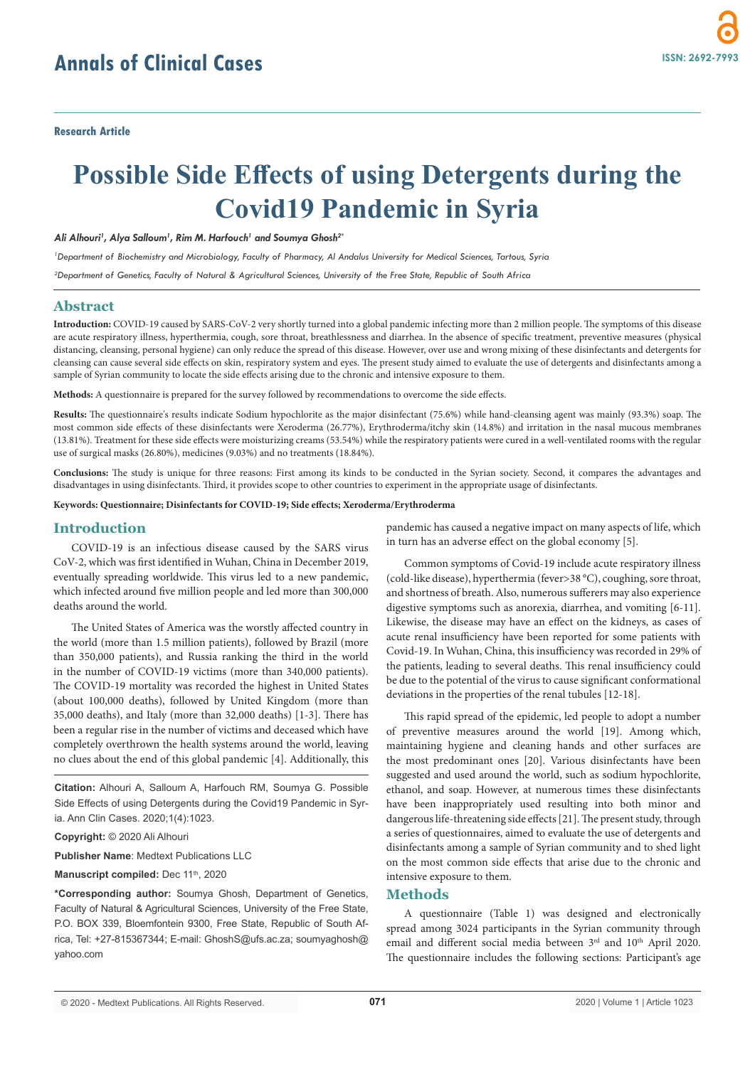# **Possible Side Effects of using Detergents during the Covid19 Pandemic in Syria**

#### *Ali Alhouri1 , Alya Salloum1 , Rim M. Harfouch1 and Soumya Ghosh2\**

*1 Department of Biochemistry and Microbiology, Faculty of Pharmacy, Al Andalus University for Medical Sciences, Tartous, Syria*

*2 Department of Genetics, Faculty of Natural & Agricultural Sciences, University of the Free State, Republic of South Africa*

## **Abstract**

**Introduction:** COVID-19 caused by SARS-CoV-2 very shortly turned into a global pandemic infecting more than 2 million people. The symptoms of this disease are acute respiratory illness, hyperthermia, cough, sore throat, breathlessness and diarrhea. In the absence of specific treatment, preventive measures (physical distancing, cleansing, personal hygiene) can only reduce the spread of this disease. However, over use and wrong mixing of these disinfectants and detergents for cleansing can cause several side effects on skin, respiratory system and eyes. The present study aimed to evaluate the use of detergents and disinfectants among a sample of Syrian community to locate the side effects arising due to the chronic and intensive exposure to them.

**Methods:** A questionnaire is prepared for the survey followed by recommendations to overcome the side effects.

**Results:** The questionnaire's results indicate Sodium hypochlorite as the major disinfectant (75.6%) while hand-cleansing agent was mainly (93.3%) soap. The most common side effects of these disinfectants were Xeroderma (26.77%), Erythroderma/itchy skin (14.8%) and irritation in the nasal mucous membranes (13.81%). Treatment for these side effects were moisturizing creams (53.54%) while the respiratory patients were cured in a well-ventilated rooms with the regular use of surgical masks (26.80%), medicines (9.03%) and no treatments (18.84%).

**Conclusions:** The study is unique for three reasons: First among its kinds to be conducted in the Syrian society. Second, it compares the advantages and disadvantages in using disinfectants. Third, it provides scope to other countries to experiment in the appropriate usage of disinfectants.

**Keywords: Questionnaire; Disinfectants for COVID-19; Side effects; Xeroderma/Erythroderma**

## **Introduction**

COVID-19 is an infectious disease caused by the SARS virus CoV-2, which was first identified in Wuhan, China in December 2019, eventually spreading worldwide. This virus led to a new pandemic, which infected around five million people and led more than 300,000 deaths around the world.

The United States of America was the worstly affected country in the world (more than 1.5 million patients), followed by Brazil (more than 350,000 patients), and Russia ranking the third in the world in the number of COVID-19 victims (more than 340,000 patients). The COVID-19 mortality was recorded the highest in United States (about 100,000 deaths), followed by United Kingdom (more than 35,000 deaths), and Italy (more than 32,000 deaths) [1-3]. There has been a regular rise in the number of victims and deceased which have completely overthrown the health systems around the world, leaving no clues about the end of this global pandemic [4]. Additionally, this

**Citation:** Alhouri A, Salloum A, Harfouch RM, Soumya G. Possible Side Effects of using Detergents during the Covid19 Pandemic in Syria. Ann Clin Cases. 2020;1(4):1023.

**Copyright:** © 2020 Ali Alhouri

**Publisher Name**: Medtext Publications LLC

Manuscript compiled: Dec 11<sup>th</sup>, 2020

**\*Corresponding author:** Soumya Ghosh, Department of Genetics, Faculty of Natural & Agricultural Sciences, University of the Free State, P.O. BOX 339, Bloemfontein 9300, Free State, Republic of South Africa, Tel: +27-815367344; E-mail: GhoshS@ufs.ac.za; soumyaghosh@ yahoo.com

pandemic has caused a negative impact on many aspects of life, which in turn has an adverse effect on the global economy [5].

Common symptoms of Covid-19 include acute respiratory illness (cold-like disease), hyperthermia (fever>38 °C), coughing, sore throat, and shortness of breath. Also, numerous sufferers may also experience digestive symptoms such as anorexia, diarrhea, and vomiting [6-11]. Likewise, the disease may have an effect on the kidneys, as cases of acute renal insufficiency have been reported for some patients with Covid-19. In Wuhan, China, this insufficiency was recorded in 29% of the patients, leading to several deaths. This renal insufficiency could be due to the potential of the virus to cause significant conformational deviations in the properties of the renal tubules [12-18].

This rapid spread of the epidemic, led people to adopt a number of preventive measures around the world [19]. Among which, maintaining hygiene and cleaning hands and other surfaces are the most predominant ones [20]. Various disinfectants have been suggested and used around the world, such as sodium hypochlorite, ethanol, and soap. However, at numerous times these disinfectants have been inappropriately used resulting into both minor and dangerous life-threatening side effects [21]. The present study, through a series of questionnaires, aimed to evaluate the use of detergents and disinfectants among a sample of Syrian community and to shed light on the most common side effects that arise due to the chronic and intensive exposure to them.

## **Methods**

A questionnaire (Table 1) was designed and electronically spread among 3024 participants in the Syrian community through email and different social media between 3<sup>rd</sup> and 10<sup>th</sup> April 2020. The questionnaire includes the following sections: Participant's age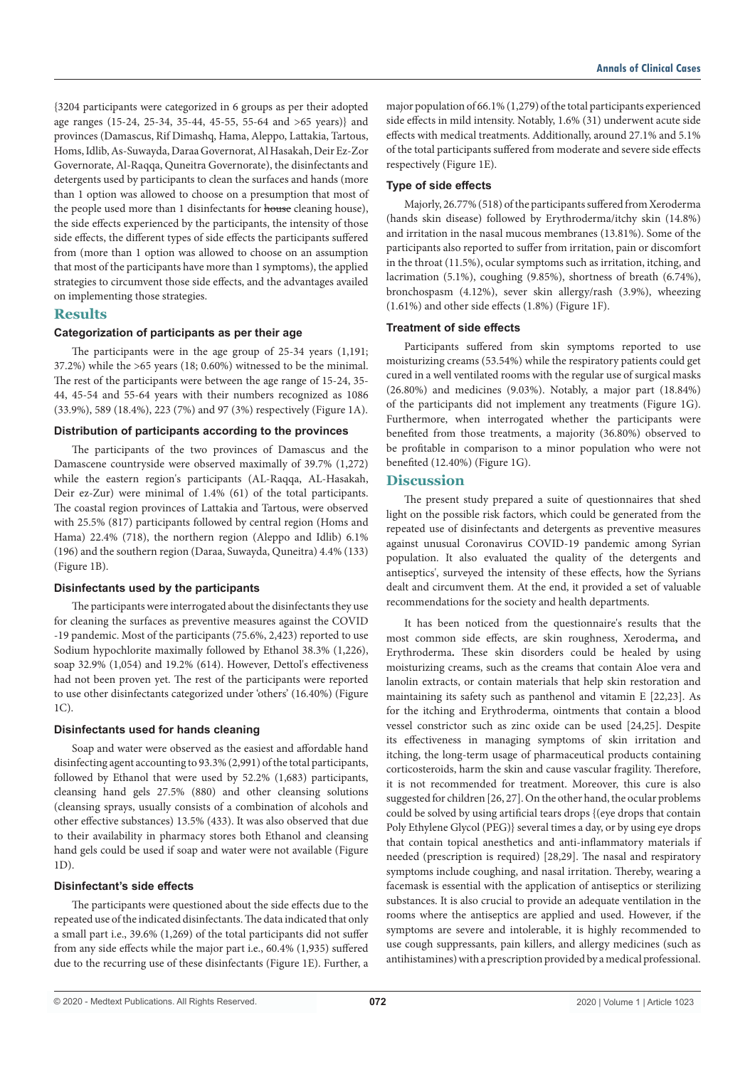{3204 participants were categorized in 6 groups as per their adopted age ranges (15-24, 25-34, 35-44, 45-55, 55-64 and >65 years)} and provinces (Damascus, Rif Dimashq, Hama, Aleppo, Lattakia, Tartous, Homs, Idlib, As-Suwayda, Daraa Governorat, Al Hasakah, Deir Ez-Zor Governorate, Al-Raqqa, Quneitra Governorate), the disinfectants and detergents used by participants to clean the surfaces and hands (more than 1 option was allowed to choose on a presumption that most of the people used more than 1 disinfectants for house cleaning house), the side effects experienced by the participants, the intensity of those side effects, the different types of side effects the participants suffered from (more than 1 option was allowed to choose on an assumption that most of the participants have more than 1 symptoms), the applied strategies to circumvent those side effects, and the advantages availed on implementing those strategies.

## **Results**

## **Categorization of participants as per their age**

The participants were in the age group of 25-34 years (1,191; 37.2%) while the >65 years (18; 0.60%) witnessed to be the minimal. The rest of the participants were between the age range of 15-24, 35- 44, 45-54 and 55-64 years with their numbers recognized as 1086 (33.9%), 589 (18.4%), 223 (7%) and 97 (3%) respectively (Figure 1A).

#### **Distribution of participants according to the provinces**

The participants of the two provinces of Damascus and the Damascene countryside were observed maximally of 39.7% (1,272) while the eastern region's participants (AL-Raqqa, AL-Hasakah, Deir ez-Zur) were minimal of 1.4% (61) of the total participants. The coastal region provinces of Lattakia and Tartous, were observed with 25.5% (817) participants followed by central region (Homs and Hama) 22.4% (718), the northern region (Aleppo and Idlib) 6.1% (196) and the southern region (Daraa, Suwayda, Quneitra) 4.4% (133) (Figure 1B).

#### **Disinfectants used by the participants**

The participants were interrogated about the disinfectants they use for cleaning the surfaces as preventive measures against the COVID -19 pandemic. Most of the participants (75.6%, 2,423) reported to use Sodium hypochlorite maximally followed by Ethanol 38.3% (1,226), soap 32.9% (1,054) and 19.2% (614). However, Dettol's effectiveness had not been proven yet. The rest of the participants were reported to use other disinfectants categorized under 'others' (16.40%) (Figure  $1C$ 

## **Disinfectants used for hands cleaning**

Soap and water were observed as the easiest and affordable hand disinfecting agent accounting to 93.3% (2,991) of the total participants, followed by Ethanol that were used by 52.2% (1,683) participants, cleansing hand gels 27.5% (880) and other cleansing solutions (cleansing sprays, usually consists of a combination of alcohols and other effective substances) 13.5% (433). It was also observed that due to their availability in pharmacy stores both Ethanol and cleansing hand gels could be used if soap and water were not available (Figure  $1D$ 

#### **Disinfectant's side effects**

The participants were questioned about the side effects due to the repeated use of the indicated disinfectants. The data indicated that only a small part i.e., 39.6% (1,269) of the total participants did not suffer from any side effects while the major part i.e., 60.4% (1,935) suffered due to the recurring use of these disinfectants (Figure 1E). Further, a major population of 66.1% (1,279) of the total participants experienced side effects in mild intensity. Notably, 1.6% (31) underwent acute side effects with medical treatments. Additionally, around 27.1% and 5.1% of the total participants suffered from moderate and severe side effects respectively (Figure 1E).

## **Type of side effects**

Majorly, 26.77% (518) of the participants suffered from Xeroderma (hands skin disease) followed by Erythroderma/itchy skin (14.8%) and irritation in the nasal mucous membranes (13.81%). Some of the participants also reported to suffer from irritation, pain or discomfort in the throat (11.5%), ocular symptoms such as irritation, itching, and lacrimation (5.1%), coughing (9.85%), shortness of breath (6.74%), bronchospasm (4.12%), sever skin allergy/rash (3.9%), wheezing (1.61%) and other side effects (1.8%) (Figure 1F).

## **Treatment of side effects**

Participants suffered from skin symptoms reported to use moisturizing creams (53.54%) while the respiratory patients could get cured in a well ventilated rooms with the regular use of surgical masks (26.80%) and medicines (9.03%). Notably, a major part (18.84%) of the participants did not implement any treatments (Figure 1G). Furthermore, when interrogated whether the participants were benefited from those treatments, a majority (36.80%) observed to be profitable in comparison to a minor population who were not benefited (12.40%) (Figure 1G).

## **Discussion**

The present study prepared a suite of questionnaires that shed light on the possible risk factors, which could be generated from the repeated use of disinfectants and detergents as preventive measures against unusual Coronavirus COVID-19 pandemic among Syrian population. It also evaluated the quality of the detergents and antiseptics', surveyed the intensity of these effects, how the Syrians dealt and circumvent them. At the end, it provided a set of valuable recommendations for the society and health departments.

It has been noticed from the questionnaire's results that the most common side effects, are skin roughness, Xeroderma**,** and Erythroderma**.** These skin disorders could be healed by using moisturizing creams, such as the creams that contain Aloe vera and lanolin extracts, or contain materials that help skin restoration and maintaining its safety such as panthenol and vitamin E [22,23]. As for the itching and Erythroderma, ointments that contain a blood vessel constrictor such as zinc oxide can be used [24,25]. Despite its effectiveness in managing symptoms of skin irritation and itching, the long-term usage of pharmaceutical products containing corticosteroids, harm the skin and cause vascular fragility. Therefore, it is not recommended for treatment. Moreover, this cure is also suggested for children [26, 27]. On the other hand, the ocular problems could be solved by using artificial tears drops {(eye drops that contain Poly Ethylene Glycol (PEG)} several times a day, or by using eye drops that contain topical anesthetics and anti-inflammatory materials if needed (prescription is required) [28,29]. The nasal and respiratory symptoms include coughing, and nasal irritation. Thereby, wearing a facemask is essential with the application of antiseptics or sterilizing substances. It is also crucial to provide an adequate ventilation in the rooms where the antiseptics are applied and used. However, if the symptoms are severe and intolerable, it is highly recommended to use cough suppressants, pain killers, and allergy medicines (such as antihistamines) with a prescription provided by a medical professional.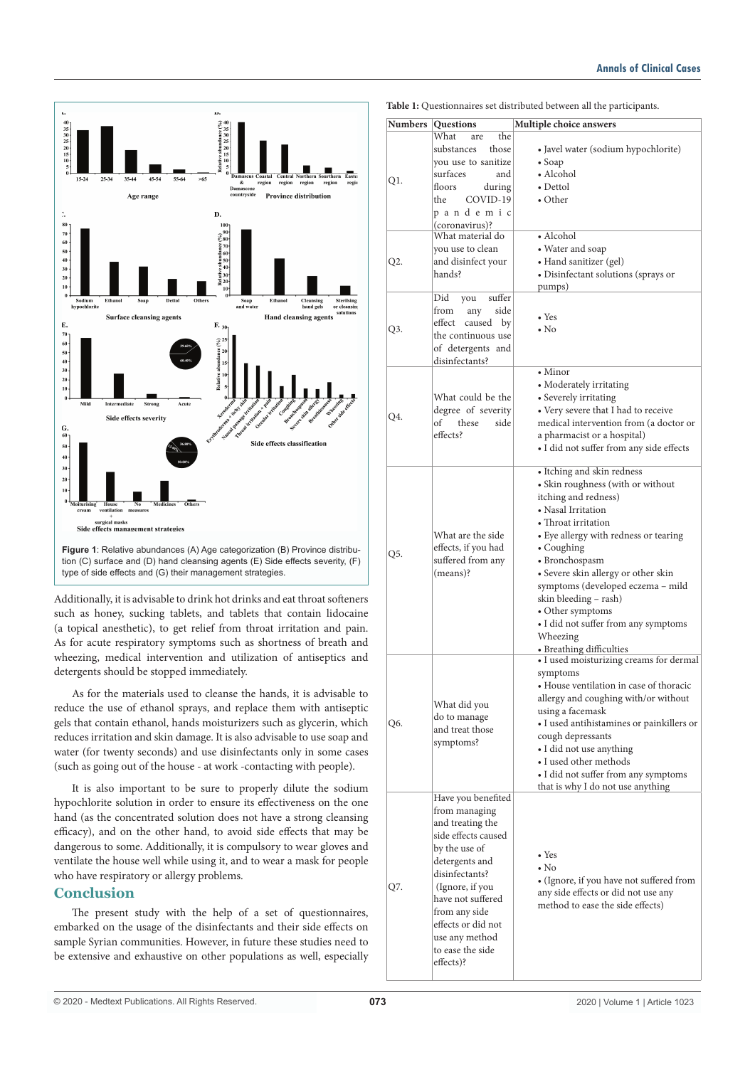

**Figure 1**: Relative abundances (A) Age categorization (B) Province distribution (C) surface and (D) hand cleansing agents (E) Side effects severity, (F) type of side effects and (G) their management strategies.

Additionally, it is advisable to drink hot drinks and eat throat softeners such as honey, sucking tablets, and tablets that contain lidocaine (a topical anesthetic), to get relief from throat irritation and pain. As for acute respiratory symptoms such as shortness of breath and wheezing, medical intervention and utilization of antiseptics and detergents should be stopped immediately.

As for the materials used to cleanse the hands, it is advisable to reduce the use of ethanol sprays, and replace them with antiseptic gels that contain ethanol, hands moisturizers such as glycerin, which reduces irritation and skin damage. It is also advisable to use soap and water (for twenty seconds) and use disinfectants only in some cases (such as going out of the house - at work -contacting with people).

It is also important to be sure to properly dilute the sodium hypochlorite solution in order to ensure its effectiveness on the one hand (as the concentrated solution does not have a strong cleansing efficacy), and on the other hand, to avoid side effects that may be dangerous to some. Additionally, it is compulsory to wear gloves and ventilate the house well while using it, and to wear a mask for people who have respiratory or allergy problems.

## **Conclusion**

The present study with the help of a set of questionnaires, embarked on the usage of the disinfectants and their side effects on sample Syrian communities. However, in future these studies need to be extensive and exhaustive on other populations as well, especially

| <b>Numbers</b> | <b>Questions</b>                                                                                                                                                                                                                                                      | Multiple choice answers                                                                                                                                                                                                                                                                                                                                                                                                |
|----------------|-----------------------------------------------------------------------------------------------------------------------------------------------------------------------------------------------------------------------------------------------------------------------|------------------------------------------------------------------------------------------------------------------------------------------------------------------------------------------------------------------------------------------------------------------------------------------------------------------------------------------------------------------------------------------------------------------------|
| Q1.            | the<br>What<br>are<br>those<br>substances<br>you use to sanitize<br>surfaces<br>and<br>floors<br>during<br>COVID-19<br>the<br>pandemic<br>(coronavirus)?                                                                                                              | • Javel water (sodium hypochlorite)<br>$\bullet$ Soap<br>• Alcohol<br>$\bullet$ Dettol<br>$\bullet$ Other                                                                                                                                                                                                                                                                                                              |
| Q2.            | What material do<br>you use to clean<br>and disinfect your<br>hands?                                                                                                                                                                                                  | • Alcohol<br>• Water and soap<br>• Hand sanitizer (gel)<br>• Disinfectant solutions (sprays or<br>pumps)                                                                                                                                                                                                                                                                                                               |
| Q3.            | Did<br>you<br>suffer<br>from<br>side<br>any<br>effect<br>caused<br>by<br>the continuous use<br>of detergents and<br>disinfectants?                                                                                                                                    | $\bullet$ Yes<br>$\bullet$ No                                                                                                                                                                                                                                                                                                                                                                                          |
| Q4.            | What could be the<br>degree of severity<br>of<br>these<br>side<br>effects?                                                                                                                                                                                            | $\bullet$ Minor<br>• Moderately irritating<br>• Severely irritating<br>• Very severe that I had to receive<br>medical intervention from (a doctor or<br>a pharmacist or a hospital)<br>• I did not suffer from any side effects                                                                                                                                                                                        |
| Q5.            | What are the side<br>effects, if you had<br>suffered from any<br>(means)?                                                                                                                                                                                             | • Itching and skin redness<br>• Skin roughness (with or without<br>itching and redness)<br>• Nasal Irritation<br>• Throat irritation<br>• Eye allergy with redness or tearing<br>• Coughing<br>• Bronchospasm<br>• Severe skin allergy or other skin<br>symptoms (developed eczema - mild<br>skin bleeding - rash)<br>• Other symptoms<br>• I did not suffer from any symptoms<br>Wheezing<br>• Breathing difficulties |
| Q6.            | What did you<br>do to manage<br>and treat those<br>symptoms?                                                                                                                                                                                                          | • I used moisturizing creams for dermal<br>symptoms<br>• House ventilation in case of thoracic<br>allergy and coughing with/or without<br>using a facemask<br>• I used antihistamines or painkillers or<br>cough depressants<br>• I did not use anything<br>· I used other methods<br>• I did not suffer from any symptoms<br>that is why I do not use anything                                                        |
| Q7.            | Have you benefited<br>from managing<br>and treating the<br>side effects caused<br>by the use of<br>detergents and<br>disinfectants?<br>(Ignore, if you<br>have not suffered<br>from any side<br>effects or did not<br>use any method<br>to ease the side<br>effects)? | $\bullet$ Yes<br>$\cdot$ No<br>• (Ignore, if you have not suffered from<br>any side effects or did not use any<br>method to ease the side effects)                                                                                                                                                                                                                                                                     |

**Table 1:** Questionnaires set distributed between all the participants.